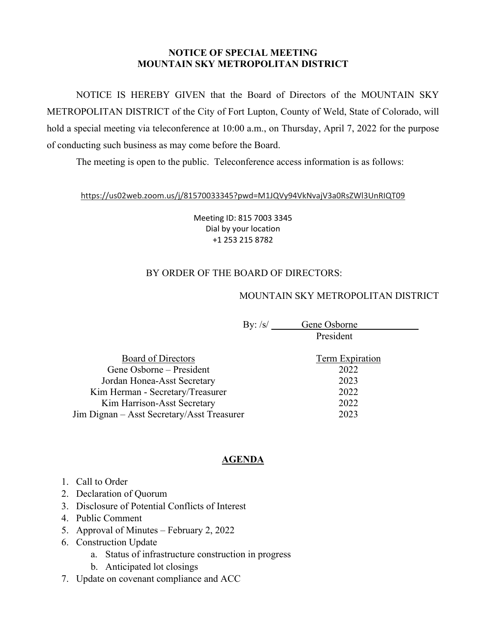### **NOTICE OF SPECIAL MEETING MOUNTAIN SKY METROPOLITAN DISTRICT**

NOTICE IS HEREBY GIVEN that the Board of Directors of the MOUNTAIN SKY METROPOLITAN DISTRICT of the City of Fort Lupton, County of Weld, State of Colorado, will hold a special meeting via teleconference at 10:00 a.m., on Thursday, April 7, 2022 for the purpose of conducting such business as may come before the Board.

The meeting is open to the public. Teleconference access information is as follows:

#### https://us02web.zoom.us/j/81570033345?pwd=M1JQVy94VkNvajV3a0RsZWl3UnRIQT09

Meeting ID: 815 7003 3345 Dial by your location +1 253 215 8782

# BY ORDER OF THE BOARD OF DIRECTORS:

## MOUNTAIN SKY METROPOLITAN DISTRICT

| By: $\sqrt{s}$ | Gene Osborne |  |
|----------------|--------------|--|
|                | President    |  |

| Board of Directors                         | <b>Term Expiration</b> |
|--------------------------------------------|------------------------|
| Gene Osborne – President                   | 2022                   |
| Jordan Honea-Asst Secretary                | 2023                   |
| Kim Herman - Secretary/Treasurer           | 2022                   |
| Kim Harrison-Asst Secretary                | 2022                   |
| Jim Dignan – Asst Secretary/Asst Treasurer | 2023                   |
|                                            |                        |

# **AGENDA**

- 1. Call to Order
- 2. Declaration of Quorum
- 3. Disclosure of Potential Conflicts of Interest
- 4. Public Comment
- 5. Approval of Minutes February 2, 2022
- 6. Construction Update
	- a. Status of infrastructure construction in progress
	- b. Anticipated lot closings
- 7. Update on covenant compliance and ACC